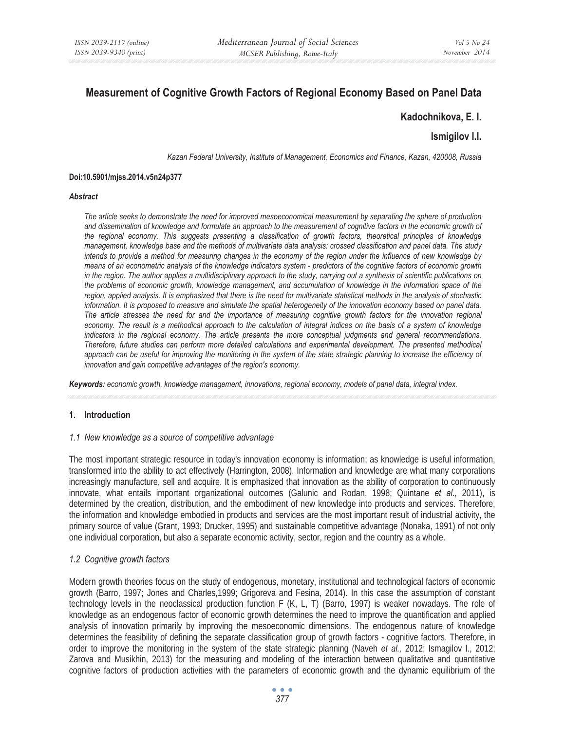# **Measurement of Cognitive Growth Factors of Regional Economy Based on Panel Data**

# **Kadochnikova, ɀ. I.**

# **Ismigilov I.I.**

*Kazan Federal University, Institute of Management, Economics and Finance, Kazan, 420008, Russia* 

#### **Doi:10.5901/mjss.2014.v5n24p377**

#### *Abstract*

*The article seeks to demonstrate the need for improved mesoeconomical measurement by separating the sphere of production*  and dissemination of knowledge and formulate an approach to the measurement of cognitive factors in the economic growth of *the regional economy. This suggests presenting a classification of growth factors, theoretical principles of knowledge management, knowledge base and the methods of multivariate data analysis: crossed classification and panel data. The study intends to provide a method for measuring changes in the economy of the region under the influence of new knowledge by means of an econometric analysis of the knowledge indicators system - predictors of the cognitive factors of economic growth in the region. The author applies a multidisciplinary approach to the study, carrying out a synthesis of scientific publications on*  the problems of economic growth, knowledge management, and accumulation of knowledge in the information space of the *region, applied analysis. It is emphasized that there is the need for multivariate statistical methods in the analysis of stochastic information. It is proposed to measure and simulate the spatial heterogeneity of the innovation economy based on panel data.*  The article stresses the need for and the importance of measuring cognitive growth factors for the innovation regional economy. The result is a methodical approach to the calculation of integral indices on the basis of a system of knowledge *indicators in the regional economy. The article presents the more conceptual judgments and general recommendations. Therefore, future studies can perform more detailed calculations and experimental development. The presented methodical approach can be useful for improving the monitoring in the system of the state strategic planning to increase the efficiency of innovation and gain competitive advantages of the region's economy.* 

*Keywords: economic growth, knowledge management, innovations, regional economy, models of panel data, integral index.*

#### **1. Introduction**

#### *1.1 New knowledge as a source of competitive advantage*

The most important strategic resource in today's innovation economy is information; as knowledge is useful information, transformed into the ability to act effectively (Harrington, 2008). Information and knowledge are what many corporations increasingly manufacture, sell and acquire. It is emphasized that innovation as the ability of corporation to continuously innovate, what entails important organizational outcomes (Galunic and Rodan, 1998; Quintane *et al*., 2011), is determined by the creation, distribution, and the embodiment of new knowledge into products and services. Therefore, the information and knowledge embodied in products and services are the most important result of industrial activity, the primary source of value (Grant, 1993; Drucker, 1995) and sustainable competitive advantage (Nonaka, 1991) of not only one individual corporation, but also a separate economic activity, sector, region and the country as a whole.

#### *1.2 Cognitive growth factors*

Modern growth theories focus on the study of endogenous, monetary, institutional and technological factors of economic growth (Barro, 1997; Jones and Charles,1999; Grigoreva and Fesina, 2014). In this case the assumption of constant technology levels in the neoclassical production function F (K, L, T) (Barro, 1997) is weaker nowadays. The role of knowledge as an endogenous factor of economic growth determines the need to improve the quantification and applied analysis of innovation primarily by improving the mesoeconomic dimensions. The endogenous nature of knowledge determines the feasibility of defining the separate classification group of growth factors - cognitive factors. Therefore, in order to improve the monitoring in the system of the state strategic planning (Naveh *et al.,* 2012; Ismagilov I., 2012; Zarova and Musikhin, 2013) for the measuring and modeling of the interaction between qualitative and quantitative cognitive factors of production activities with the parameters of economic growth and the dynamic equilibrium of the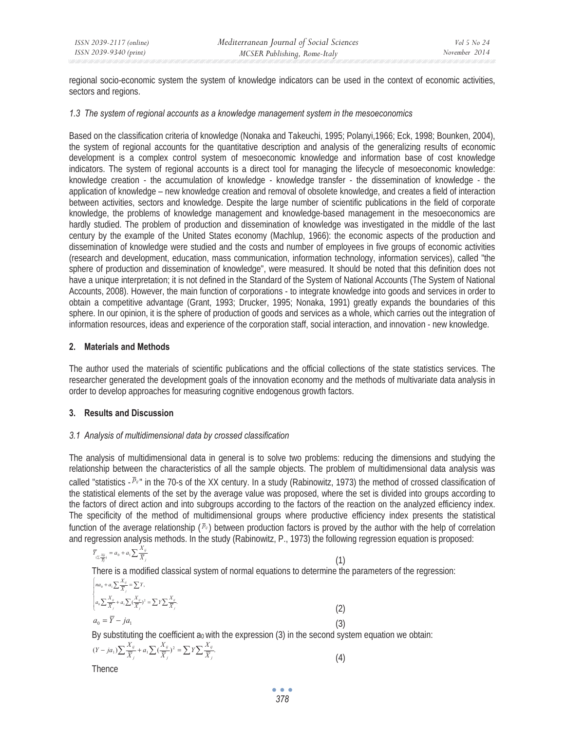regional socio-economic system the system of knowledge indicators can be used in the context of economic activities, sectors and regions.

#### *1.3 The system of regional accounts as a knowledge management system in the mesoeconomics*

Based on the classification criteria of knowledge (Nonaka and Takeuchi, 1995; Polanyi,1966; Eck, 1998; Bounken, 2004), the system of regional accounts for the quantitative description and analysis of the generalizing results of economic development is a complex control system of mesoeconomic knowledge and information base of cost knowledge indicators. The system of regional accounts is a direct tool for managing the lifecycle of mesoeconomic knowledge: knowledge creation - the accumulation of knowledge - knowledge transfer - the dissemination of knowledge - the application of knowledge – new knowledge creation and removal of obsolete knowledge, and creates a field of interaction between activities, sectors and knowledge. Despite the large number of scientific publications in the field of corporate knowledge, the problems of knowledge management and knowledge-based management in the mesoeconomics are hardly studied. The problem of production and dissemination of knowledge was investigated in the middle of the last century by the example of the United States economy (Machlup, 1966): the economic aspects of the production and dissemination of knowledge were studied and the costs and number of employees in five groups of economic activities (research and development, education, mass communication, information technology, information services), called "the sphere of production and dissemination of knowledge", were measured. It should be noted that this definition does not have a unique interpretation; it is not defined in the Standard of the System of National Accounts (The System of National Accounts, 2008). However, the main function of corporations - to integrate knowledge into goods and services in order to obtain a competitive advantage (Grant, 1993; Drucker, 1995; Nonaka, 1991) greatly expands the boundaries of this sphere. In our opinion, it is the sphere of production of goods and services as a whole, which carries out the integration of information resources, ideas and experience of the corporation staff, social interaction, and innovation - new knowledge.

## **2. Materials and Methods**

The author used the materials of scientific publications and the official collections of the state statistics services. The researcher generated the development goals of the innovation economy and the methods of multivariate data analysis in order to develop approaches for measuring cognitive endogenous growth factors.

## **3. Results and Discussion**

## *3.1 Analysis of multidimensional data by crossed classification*

The analysis of multidimensional data in general is to solve two problems: reducing the dimensions and studying the relationship between the characteristics of all the sample objects. The problem of multidimensional data analysis was called "statistics -  $\bar{P}_y$ " in the 70-s of the XX century. In a study (Rabinowitz, 1973) the method of crossed classification of the statistical elements of the set by the average value was proposed, where the set is divided into groups according to the factors of direct action and into subgroups according to the factors of the reaction on the analyzed efficiency index. The specificity of the method of multidimensional groups where productive efficiency index presents the statistical function of the average relationship  $(\bar{P}_{ij})$  between production factors is proved by the author with the help of correlation and regression analysis methods. In the study (Rabinowitz, P., 1973) the following regression equation is proposed:

$$
\overline{Y}_{\left(\sum\frac{X_{ij}}{\overline{X}_j}\right)} = a_0 + a_1 \sum \frac{X_{ij}}{\overline{X}_j} \tag{1}
$$

There is a modified classical system of normal equations to determine the parameters of the regression: ſ

$$
\begin{cases}\nna_0 + a_1 \sum \frac{X_{ij}}{\overline{X}_j} = \sum Y, \\
a_0 \sum \frac{X_{ij}}{\overline{X}_j} + a_1 \sum \left(\frac{X_{ij}}{\overline{X}_j}\right)^2 = \sum Y \sum \frac{X_{ij}}{\overline{X}_j}.\n\end{cases}
$$
\n
$$
a_0 = \overline{Y} - ja_1
$$
\n(3)

By substituting the coefficient  $a_0$  with the expression (3) in the second system equation we obtain:

$$
(Y - ja_1) \sum \frac{X_{ij}}{\overline{X}_j} + a_1 \sum \left(\frac{X_{ij}}{\overline{X}_j}\right)^2 = \sum Y \sum \frac{X_{ij}}{\overline{X}_j}.
$$
\n
$$
(4)
$$

Thence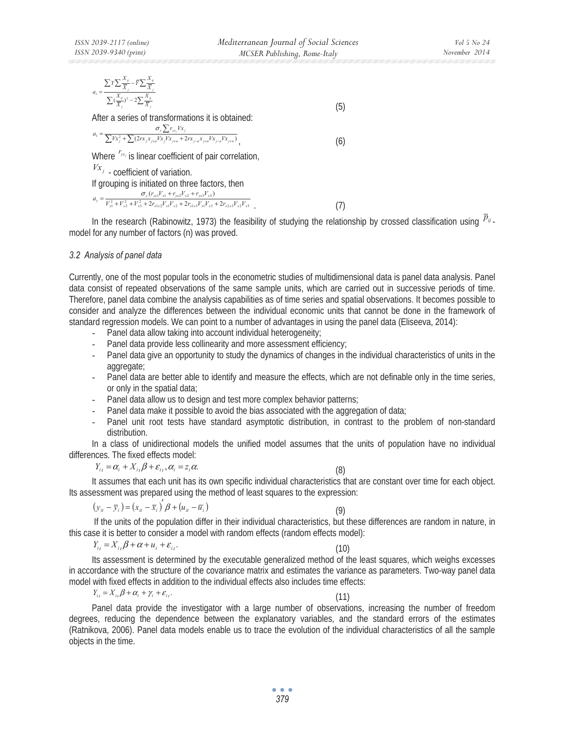$$
a_1 = \frac{\sum Y \sum \frac{X_y}{\overline{X}_j} - \overline{Y} \sum \frac{X_y}{\overline{X}_j}}{\sum (\frac{X_y}{\overline{X}_j})^2 - 2 \sum \frac{X_y}{\overline{X}_j}}
$$
(5)

After a series of transformations it is obtained:

$$
a_1 = \frac{\sigma_y \sum r_{yx_j} V x_j}{\sum V x_j^2 + \sum (2rx_j x_{j+n} V x_j V x_{j+n} + 2rx_{j-n} x_{j+n} V x_{j-n} V x_{j+n})}
$$
\n(6)

Where  $r_{xx}$  is linear coefficient of pair correlation,

 $Vx_j$  - coefficient of variation.

If grouping is initiated on three factors, then  
\n
$$
a_1 = \frac{\sigma_y(r_{yx_1}V_{x1} + r_{yx_2}V_{x2} + r_{yx_3}V_{x3})}{V_{x1}^2 + V_{x2}^2 + V_{x3}^2 + 2r_{x1x2}V_{x1}V_{x2} + 2r_{x1x3}V_{x1}V_{x3} + 2r_{x2x3}V_{x2}V_{x3}}
$$

In the research (Rabinowitz, 1973) the feasibility of studying the relationship by crossed classification using  $\bar{P}_{ij}$ . model for any number of factors (n) was proved.

## *3.2 Analysis of panel data*

Currently, one of the most popular tools in the econometric studies of multidimensional data is panel data analysis. Panel data consist of repeated observations of the same sample units, which are carried out in successive periods of time. Therefore, panel data combine the analysis capabilities as of time series and spatial observations. It becomes possible to consider and analyze the differences between the individual economic units that cannot be done in the framework of standard regression models. We can point to a number of advantages in using the panel data (Eliseeva, 2014):

- Panel data allow taking into account individual heterogeneity;
- Panel data provide less collinearity and more assessment efficiency;
- Panel data give an opportunity to study the dynamics of changes in the individual characteristics of units in the aggregate;
- Panel data are better able to identify and measure the effects, which are not definable only in the time series, or only in the spatial data;
- Panel data allow us to design and test more complex behavior patterns;
- Panel data make it possible to avoid the bias associated with the aggregation of data;
- Panel unit root tests have standard asymptotic distribution, in contrast to the problem of non-standard distribution.

In a class of unidirectional models the unified model assumes that the units of population have no individual differences. The fixed effects model:

$$
Y_{it} = \alpha_i + X_{it}\beta + \varepsilon_{it}, \alpha_i = z_i\alpha.
$$
\n(8)

It assumes that each unit has its own specific individual characteristics that are constant over time for each object. Its assessment was prepared using the method of least squares to the expression:

$$
(y_{ii} - \overline{y}_i) = (x_{ii} - \overline{x}_i)' \beta + (u_{ii} - \overline{u}_i)
$$
\n(9)

$$
\sqrt{2}
$$

. (7)

 If the units of the population differ in their individual characteristics, but these differences are random in nature, in this case it is better to consider a model with random effects (random effects model):

$$
Y_{i_t} = X_{i_t} \beta + \alpha + u_i + \varepsilon_{i_t}.
$$
\n<sup>(10)</sup>

Its assessment is determined by the executable generalized method of the least squares, which weighs excesses in accordance with the structure of the covariance matrix and estimates the variance as parameters. Two-way panel data model with fixed effects in addition to the individual effects also includes time effects:

 (11)  $Y_{i} = X_{i} \beta + \alpha_{i} + \gamma_{i} + \varepsilon_{i}$ 

Panel data provide the investigator with a large number of observations, increasing the number of freedom degrees, reducing the dependence between the explanatory variables, and the standard errors of the estimates (Ratnikova, 2006). Panel data models enable us to trace the evolution of the individual characteristics of all the sample objects in the time.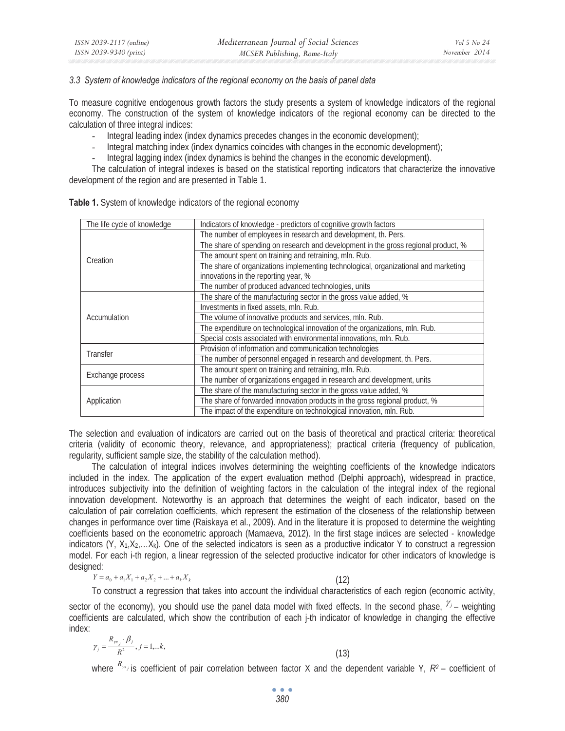#### *3.3 System of knowledge indicators of the regional economy on the basis of panel data*

To measure cognitive endogenous growth factors the study presents a system of knowledge indicators of the regional economy. The construction of the system of knowledge indicators of the regional economy can be directed to the calculation of three integral indices:

- Integral leading index (index dynamics precedes changes in the economic development);
- Integral matching index (index dynamics coincides with changes in the economic development);
- Integral lagging index (index dynamics is behind the changes in the economic development).

The calculation of integral indexes is based on the statistical reporting indicators that characterize the innovative development of the region and are presented in Table 1.

| The life cycle of knowledge | Indicators of knowledge - predictors of cognitive growth factors                    |
|-----------------------------|-------------------------------------------------------------------------------------|
| Creation                    | The number of employees in research and development, th. Pers.                      |
|                             | The share of spending on research and development in the gross regional product, %  |
|                             | The amount spent on training and retraining, mln. Rub.                              |
|                             | The share of organizations implementing technological, organizational and marketing |
|                             | innovations in the reporting year, %                                                |
|                             | The number of produced advanced technologies, units                                 |
| Accumulation                | The share of the manufacturing sector in the gross value added, %                   |
|                             | Investments in fixed assets, mln. Rub.                                              |
|                             | The volume of innovative products and services, mln. Rub.                           |
|                             | The expenditure on technological innovation of the organizations, mln. Rub.         |
|                             | Special costs associated with environmental innovations, mln. Rub.                  |
| Transfer                    | Provision of information and communication technologies                             |
|                             | The number of personnel engaged in research and development, th. Pers.              |
| Exchange process            | The amount spent on training and retraining, mln. Rub.                              |
|                             | The number of organizations engaged in research and development, units              |
| Application                 | The share of the manufacturing sector in the gross value added, %                   |
|                             | The share of forwarded innovation products in the gross regional product, %         |
|                             | The impact of the expenditure on technological innovation, mln. Rub.                |

**Table 1.** System of knowledge indicators of the regional economy

The selection and evaluation of indicators are carried out on the basis of theoretical and practical criteria: theoretical criteria (validity of economic theory, relevance, and appropriateness); practical criteria (frequency of publication, regularity, sufficient sample size, the stability of the calculation method).

The calculation of integral indices involves determining the weighting coefficients of the knowledge indicators included in the index. The application of the expert evaluation method (Delphi approach), widespread in practice, introduces subjectivity into the definition of weighting factors in the calculation of the integral index of the regional innovation development. Noteworthy is an approach that determines the weight of each indicator, based on the calculation of pair correlation coefficients, which represent the estimation of the closeness of the relationship between changes in performance over time (Raiskaya et al., 2009). And in the literature it is proposed to determine the weighting coefficients based on the econometric approach (Mamaeva, 2012). In the first stage indices are selected - knowledge indicators  $(Y, X_1, X_2, \ldots, X_k)$ . One of the selected indicators is seen as a productive indicator Y to construct a regression model. For each i-th region, a linear regression of the selected productive indicator for other indicators of knowledge is designed:

 $Y = a_0 + a_1 X_1 + a_2 X_2 + \ldots + a_k X_k$ 

 $(12)$ 

To construct a regression that takes into account the individual characteristics of each region (economic activity,

sector of the economy), you should use the panel data model with fixed effects. In the second phase,  $\frac{\gamma_j}{\gamma}$  weighting coefficients are calculated, which show the contribution of each j-th indicator of knowledge in changing the effective index:

$$
\gamma_j = \frac{R_{yx_j} \cdot \beta_j}{R^2}, j = 1, \dots k,
$$
\n(13)

where  $^{R_{yx}}$  is coefficient of pair correlation between factor X and the dependent variable Y,  $R^2$  – coefficient of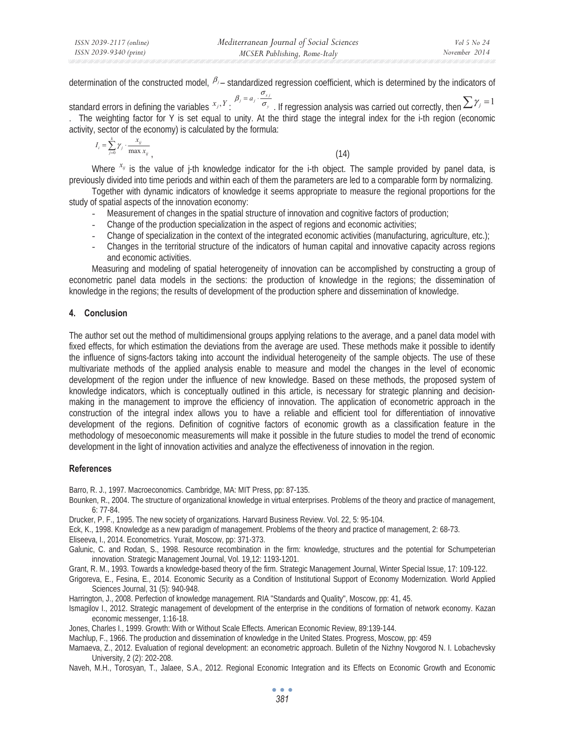determination of the constructed model,  $β$  – standardized regression coefficient, which is determined by the indicators of

standard errors in defining the variables  $x_j, Y$  :  $\beta_j = a_j \cdot \frac{\sigma_{x_j}}{\sigma_y}$ . If regression analysis was carried out correctly, then  $\sum \gamma_j = 1$ .The weighting factor for Y is set equal to unity. At the third stage the integral index for the i-th region (economic activity, sector of the economy) is calculated by the formula:

$$
I_i = \sum_{j=0}^k \gamma_j \cdot \frac{x_{ij}}{\max x_{ij}} \tag{14}
$$

Where  $x_{ij}$  is the value of j-th knowledge indicator for the i-th object. The sample provided by panel data, is previously divided into time periods and within each of them the parameters are led to a comparable form by normalizing.

Together with dynamic indicators of knowledge it seems appropriate to measure the regional proportions for the study of spatial aspects of the innovation economy:

- Measurement of changes in the spatial structure of innovation and cognitive factors of production;
- Change of the production specialization in the aspect of regions and economic activities;
- Change of specialization in the context of the integrated economic activities (manufacturing, agriculture, etc.);
- Changes in the territorial structure of the indicators of human capital and innovative capacity across regions and economic activities.

Measuring and modeling of spatial heterogeneity of innovation can be accomplished by constructing a group of econometric panel data models in the sections: the production of knowledge in the regions; the dissemination of knowledge in the regions; the results of development of the production sphere and dissemination of knowledge.

# **4. Conclusion**

The author set out the method of multidimensional groups applying relations to the average, and a panel data model with fixed effects, for which estimation the deviations from the average are used. These methods make it possible to identify the influence of signs-factors taking into account the individual heterogeneity of the sample objects. The use of these multivariate methods of the applied analysis enable to measure and model the changes in the level of economic development of the region under the influence of new knowledge. Based on these methods, the proposed system of knowledge indicators, which is conceptually outlined in this article, is necessary for strategic planning and decisionmaking in the management to improve the efficiency of innovation. The application of econometric approach in the construction of the integral index allows you to have a reliable and efficient tool for differentiation of innovative development of the regions. Definition of cognitive factors of economic growth as a classification feature in the methodology of mesoeconomic measurements will make it possible in the future studies to model the trend of economic development in the light of innovation activities and analyze the effectiveness of innovation in the region.

## **References**

Barro, R. J., 1997. Macroeconomics. Cambridge, MA: MIT Press, pp: 87-135.

- Bounken, R., 2004. The structure of organizational knowledge in virtual enterprises. Problems of the theory and practice of management, 6: 77-84.
- Drucker, P. F., 1995. The new society of organizations. Harvard Business Review. Vol. 22, 5: 95-104.
- Eck, K., 1998. Knowledge as a new paradigm of management. Problems of the theory and practice of management, 2: 68-73.
- Eliseeva, I., 2014. Econometrics. Yurait, Moscow, pp: 371-373.

Galunic, C. and Rodan, S., 1998. Resource recombination in the firm: knowledge, structures and the potential for Schumpeterian innovation. Strategic Management Journal, Vol. 19,12: 1193-1201.

Grant, R. M., 1993. Towards a knowledge-based theory of the firm. Strategic Management Journal, Winter Special Issue, 17: 109-122.

Grigoreva, E., Fesina, E., 2014. Economic Security as a Condition of Institutional Support of Economy Modernization. World Applied Sciences Journal, 31 (5): 940-948.

Harrington, J., 2008. Perfection of knowledge management. RIA "Standards and Quality", Moscow, pp: 41, 45.

Ismagilov I., 2012. Strategic management of development of the enterprise in the conditions of formation of network economy. Kazan economic messenger, 1:16-18.

Jones, Charles I., 1999. Growth: With or Without Scale Effects. American Economic Review, 89:139-144.

Machlup, F., 1966. The production and dissemination of knowledge in the United States. Progress, Moscow, pp: 459

Mamaeva, Z., 2012. Evaluation of regional development: an econometric approach. Bulletin of the Nizhny Novgorod N. I. Lobachevsky University, 2 (2): 202-208.

Naveh, M.H., Torosyan, T., Jalaee, S.A., 2012. Regional Economic Integration and its Effects on Economic Growth and Economic